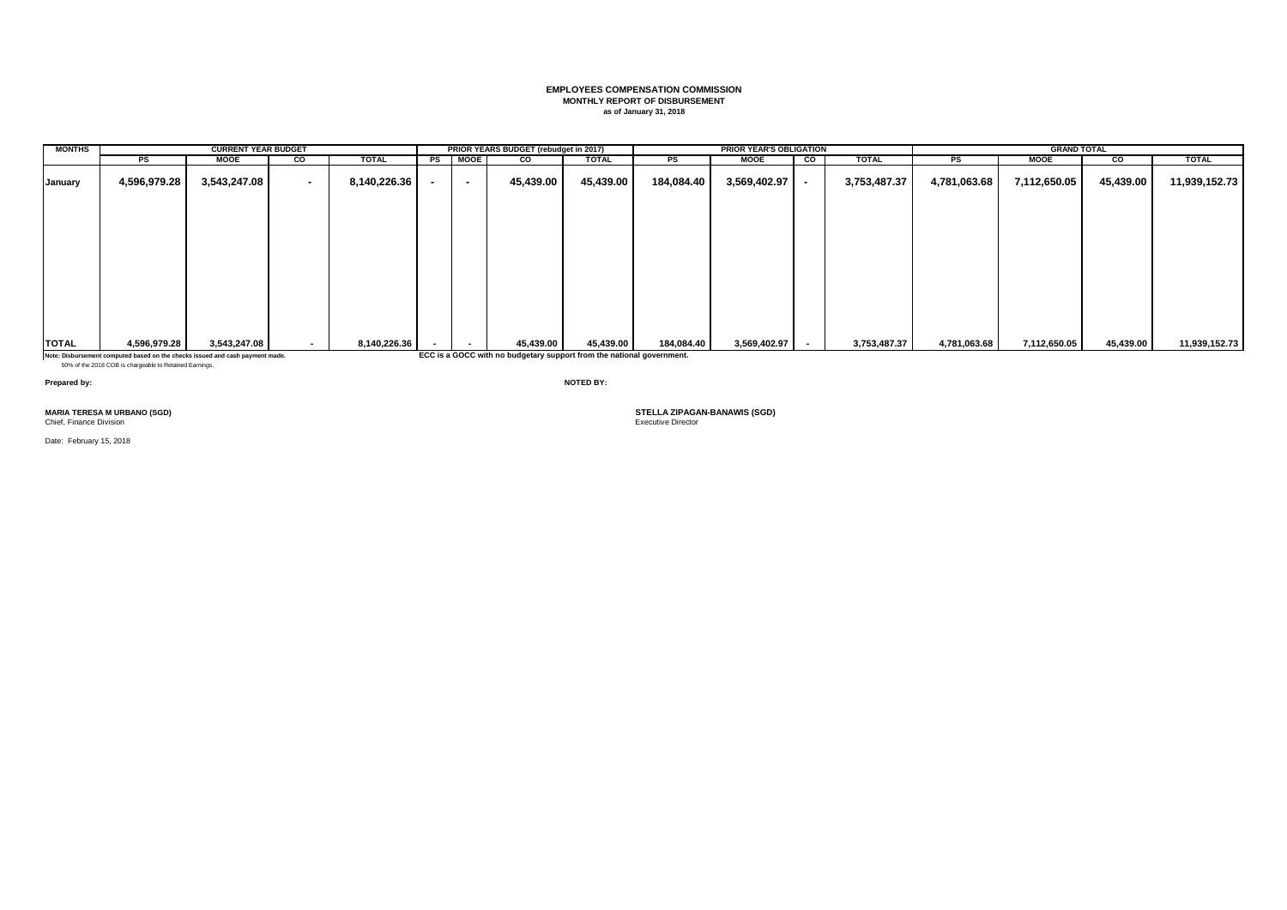#### **EMPLOYEES COMPENSATION COMMISSION MONTHLY REPORT OF DISBURSEMENT as of January 31, 2018**

| <b>MONTHS</b> |                                                                                                                                          | <b>CURRENT YEAR BUDGET</b> |        |              |    |             | PRIOR YEARS BUDGET (rebudget in 2017)                                 |              |            | <b>PRIOR YEAR'S OBLIGATION</b> |           |              |              | <b>GRAND TOTAL</b> |           |               |
|---------------|------------------------------------------------------------------------------------------------------------------------------------------|----------------------------|--------|--------------|----|-------------|-----------------------------------------------------------------------|--------------|------------|--------------------------------|-----------|--------------|--------------|--------------------|-----------|---------------|
|               | PS                                                                                                                                       | <b>MOOE</b>                | CO     | <b>TOTAL</b> | PS | <b>MOOE</b> | CO                                                                    | <b>TOTAL</b> | PS         | <b>MOOE</b>                    | <b>CO</b> | <b>TOTAL</b> | PS           | <b>MOOE</b>        | CO        | <b>TOTAL</b>  |
| January       | 4,596,979.28                                                                                                                             | 3,543,247.08               | $\sim$ | 8,140,226.36 | ٠  | $\sim$      | 45,439.00                                                             | 45,439.00    | 184,084.40 | 3,569,402.97                   |           | 3,753,487.37 | 4,781,063.68 | 7,112,650.05       | 45,439.00 | 11,939,152.73 |
|               |                                                                                                                                          |                            |        |              |    |             |                                                                       |              |            |                                |           |              |              |                    |           |               |
|               |                                                                                                                                          |                            |        |              |    |             |                                                                       |              |            |                                |           |              |              |                    |           |               |
|               |                                                                                                                                          |                            |        |              |    |             |                                                                       |              |            |                                |           |              |              |                    |           |               |
|               |                                                                                                                                          |                            |        |              |    |             |                                                                       |              |            |                                |           |              |              |                    |           |               |
|               |                                                                                                                                          |                            |        |              |    |             |                                                                       |              |            |                                |           |              |              |                    |           |               |
| <b>TOTAL</b>  | 4,596,979.28                                                                                                                             | 3,543,247.08               |        | 8,140,226.36 |    |             | 45,439.00                                                             | 45,439.00    | 184,084.40 | $3,569,402.97$ -               |           | 3,753,487.37 | 4,781,063.68 | 7,112,650.05       | 45,439.00 | 11,939,152.73 |
|               | Note: Disbursement computed based on the checks issued and cash payment made.<br>50% of the 2018 COB is chargeable to Retained Earnings. |                            |        |              |    |             | ECC is a GOCC with no budgetary support from the national government. |              |            |                                |           |              |              |                    |           |               |

**Prepared by: NOTED BY:**

**MARIA TERESA M URBANO (SGD) STELLA ZIPAGAN-BANAWIS (SGD)**

Chief, Finance Division

Date: February 15, 2018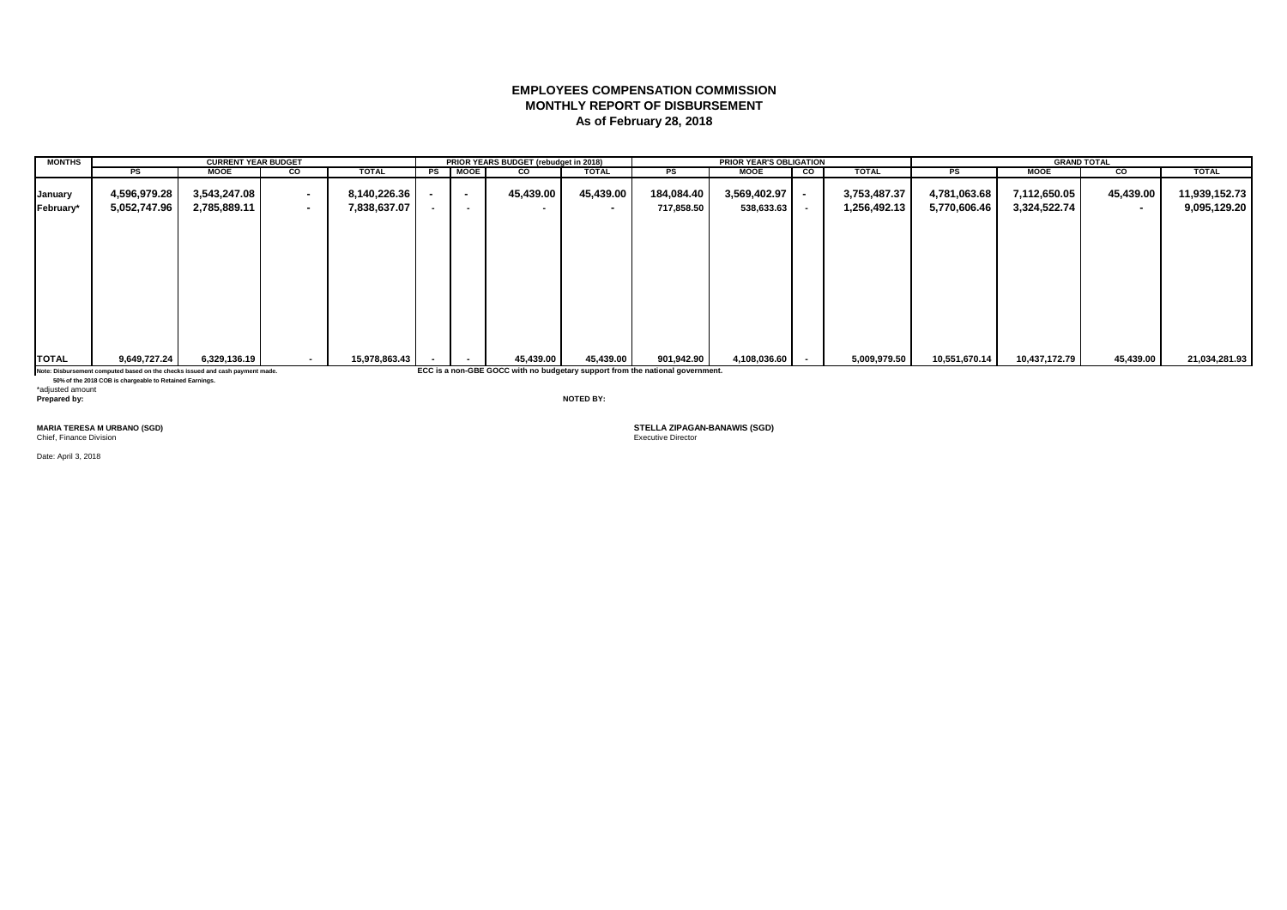# **EMPLOYEES COMPENSATION COMMISSION MONTHLY REPORT OF DISBURSEMENT As of February 28, 2018**

| <b>MONTHS</b> |                                                                               | <b>CURRENT YEAR BUDGET</b> |     |               |     |                          | PRIOR YEARS BUDGET (rebudget in 2018) |                          |                                                                               | <b>PRIOR YEAR'S OBLIGATION</b> |    |              |               | <b>GRAND TOTAL</b> |           |               |
|---------------|-------------------------------------------------------------------------------|----------------------------|-----|---------------|-----|--------------------------|---------------------------------------|--------------------------|-------------------------------------------------------------------------------|--------------------------------|----|--------------|---------------|--------------------|-----------|---------------|
|               | PS                                                                            | <b>MOOE</b>                | CO  | <b>TOTAL</b>  |     | PS MOOE                  | CO                                    | <b>TOTAL</b>             | PS                                                                            | <b>MOOE</b>                    | CO | <b>TOTAL</b> | PS            | <b>MOOE</b>        | <b>CO</b> | <b>TOTAL</b>  |
| January       | 4,596,979.28                                                                  | 3,543,247.08               | . . | 8,140,226.36  | . . | $\sim$                   | 45,439.00                             | 45,439.00                | 184,084.40                                                                    | 3,569,402.97                   |    | 3,753,487.37 | 4,781,063.68  | 7,112,650.05       | 45,439.00 | 11,939,152.73 |
| February*     | 5,052,747.96                                                                  | 2,785,889.11               | . . | 7,838,637.07  |     | $\overline{\phantom{a}}$ |                                       | $\overline{\phantom{a}}$ | 717,858.50                                                                    | 538,633.63                     |    | 1,256,492.13 | 5,770,606.46  | 3,324,522.74       |           | 9,095,129.20  |
|               |                                                                               |                            |     |               |     |                          |                                       |                          |                                                                               |                                |    |              |               |                    |           |               |
| <b>TOTAL</b>  | 9,649,727.24                                                                  | 6,329,136.19               |     | 15,978,863.43 |     |                          | 45,439.00                             | 45,439.00                | 901,942.90                                                                    | 4,108,036.60                   |    | 5,009,979.50 | 10,551,670.14 | 10,437,172.79      | 45,439.00 | 21,034,281.93 |
|               | Note: Disbursement computed based on the checks issued and cash payment made. |                            |     |               |     |                          |                                       |                          | ECC is a non-GBE GOCC with no budgetary support from the national government. |                                |    |              |               |                    |           |               |

 **50% of the 2018 COB is chargeable to Retained Earnings.** \*adjusted amount **Prepared by: NOTED BY:**

Chief, Finance Division

Date: April 3, 2018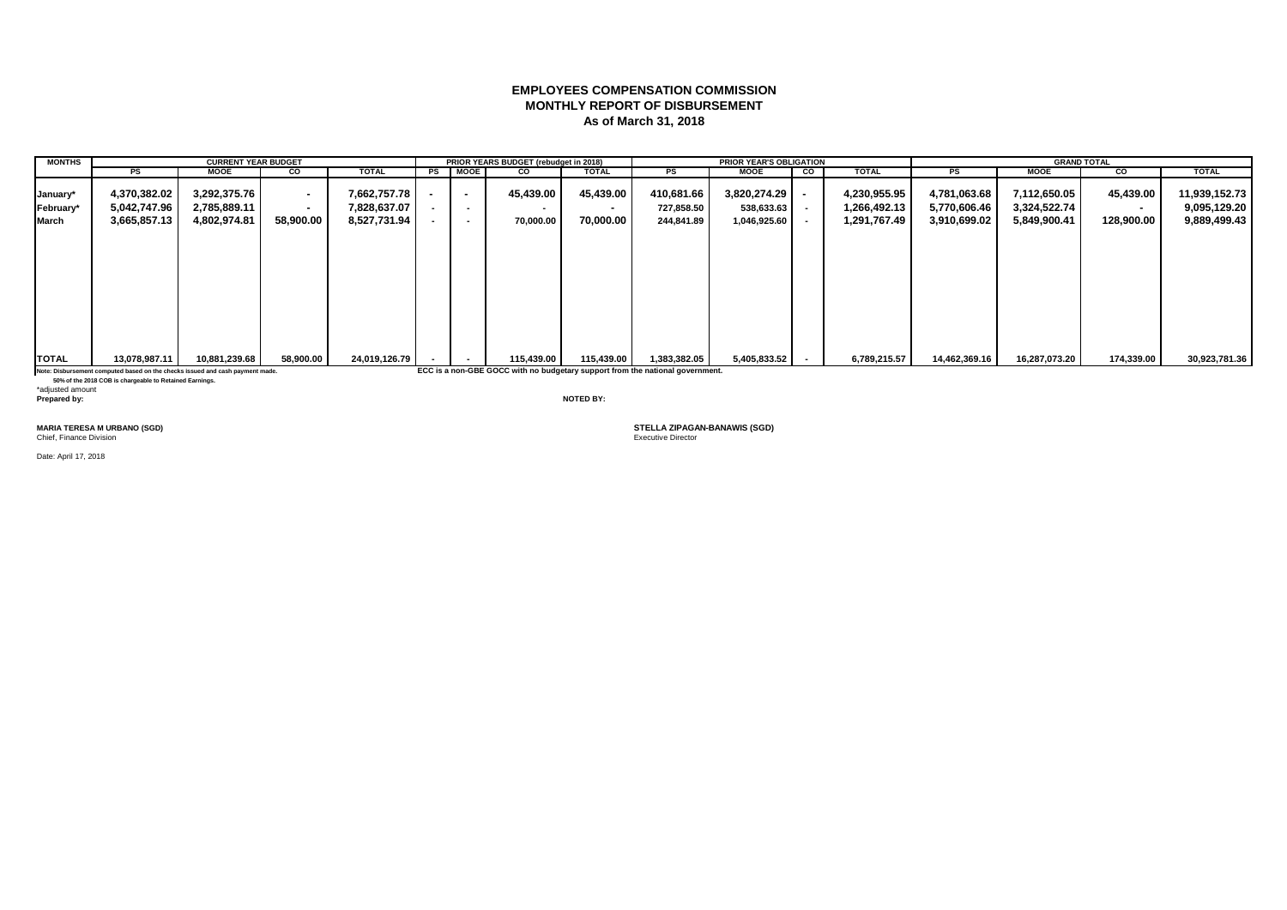# **EMPLOYEES COMPENSATION COMMISSION MONTHLY REPORT OF DISBURSEMENT As of March 31, 2018**

| <b>MONTHS</b> |                                                                               | <b>CURRENT YEAR BUDGET</b> |           |               |    |                          | PRIOR YEARS BUDGET (rebudget in 2018) |              |                                                                               | <b>PRIOR YEAR'S OBLIGATION</b> |    |              |               |               | <b>GRAND TOTAL</b> |               |
|---------------|-------------------------------------------------------------------------------|----------------------------|-----------|---------------|----|--------------------------|---------------------------------------|--------------|-------------------------------------------------------------------------------|--------------------------------|----|--------------|---------------|---------------|--------------------|---------------|
|               | <b>PS</b>                                                                     | <b>MOOE</b>                | CO.       | <b>TOTAL</b>  | PS | <b>MOOE</b>              | CO                                    | <b>TOTAL</b> | <b>PS</b>                                                                     | MOOE                           | CO | <b>TOTAL</b> | <b>PS</b>     | <b>MOOE</b>   | CO                 | <b>TOTAL</b>  |
| January*      | 4,370,382.02                                                                  | 3,292,375.76               |           | 7,662,757.78  |    | $\sim$                   | 45,439.00                             | 45,439.00    | 410,681.66                                                                    | $3,820,274.29$ -               |    | 4,230,955.95 | 4,781,063.68  | 7,112,650.05  | 45,439.00          | 11,939,152.73 |
| February*     | 5,042,747.96                                                                  | 2,785,889.11               |           | 7,828,637.07  |    | $\sim$                   | $\overline{\phantom{a}}$              | $\sim$       | 727,858.50                                                                    | $538,633.63$ -                 |    | 1,266,492.13 | 5,770,606.46  | 3,324,522.74  | $\sim$             | 9,095,129.20  |
| March         | 3,665,857.13                                                                  | 4,802,974.81               | 58,900.00 | 8,527,731.94  |    | $\overline{\phantom{a}}$ | 70,000.00                             | 70,000.00    | 244,841.89                                                                    | 1,046,925.60                   |    | 1,291,767.49 | 3,910,699.02  | 5,849,900.41  | 128,900.00         | 9,889,499.43  |
| <b>TOTAL</b>  | 13,078,987.11                                                                 | 10,881,239.68              | 58,900.00 | 24,019,126.79 |    |                          | 115,439.00                            | 115,439.00   | 1,383,382.05                                                                  | $5,405,833.52$ -               |    | 6,789,215.57 | 14,462,369.16 | 16,287,073.20 | 174,339.00         | 30,923,781.36 |
|               |                                                                               |                            |           |               |    |                          |                                       |              |                                                                               |                                |    |              |               |               |                    |               |
|               | Note: Disbursement computed based on the checks issued and cash payment made. |                            |           |               |    |                          |                                       |              | ECC is a non-GBE GOCC with no budgetary support from the national government. |                                |    |              |               |               |                    |               |

 **50% of the 2018 COB is chargeable to Retained Earnings.** \*adjusted amount **Prepared by: NOTED BY:**

Chief, Finance Division

Date: April 17, 2018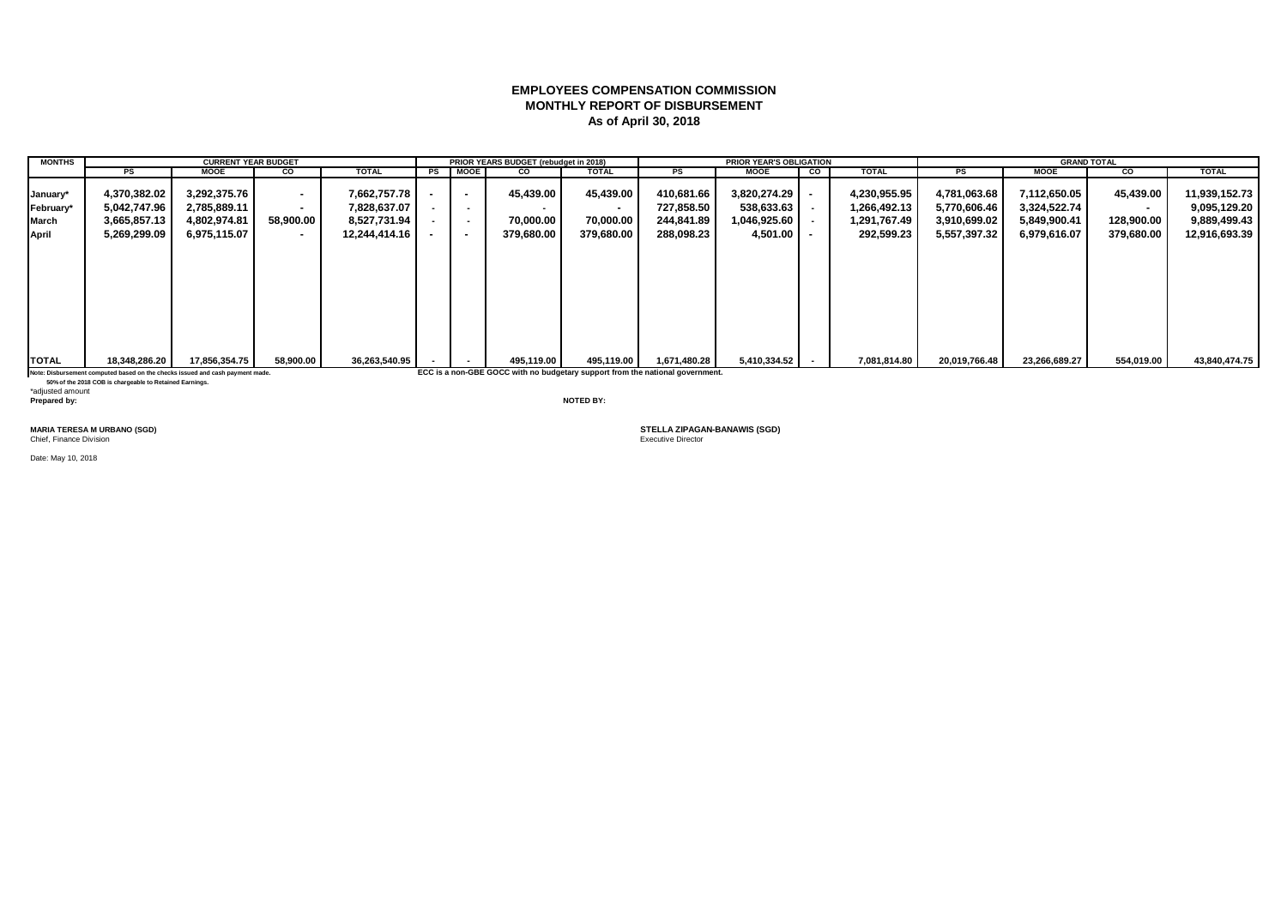# **EMPLOYEES COMPENSATION COMMISSION MONTHLY REPORT OF DISBURSEMENT As of April 30, 2018**

| <b>MONTHS</b> |                                                                               | <b>CURRENT YEAR BUDGET</b> |           |               |                | PRIOR YEARS BUDGET (rebudget in 2018) |                                                                               |              | <b>PRIOR YEAR'S OBLIGATION</b> |    |              |               | <b>GRAND TOTAL</b> |            |               |
|---------------|-------------------------------------------------------------------------------|----------------------------|-----------|---------------|----------------|---------------------------------------|-------------------------------------------------------------------------------|--------------|--------------------------------|----|--------------|---------------|--------------------|------------|---------------|
|               | PS                                                                            | <b>MOOE</b>                | CO        | <b>TOTAL</b>  | PS MOOE        | <b>CO</b>                             | <b>TOTAL</b>                                                                  | PS           | MOOE                           | CO | <b>TOTAL</b> | PS            | <b>MOOE</b>        | CO         | <b>TOTAL</b>  |
| January*      | 4,370,382.02                                                                  | 3,292,375.76               | $\sim$    | 7,662,757.78  |                | 45,439.00                             | 45,439.00                                                                     | 410,681.66   | 3,820,274.29                   |    | 4,230,955.95 | 4,781,063.68  | 7,112,650.05       | 45,439.00  | 11,939,152.73 |
| February*     | 5,042,747.96                                                                  | 2,785,889.11               |           | 7,828,637.07  | $\blacksquare$ |                                       | $\sim$                                                                        | 727,858.50   | 538,633.63                     |    | 1,266,492.13 | 5,770,606.46  | 3,324,522.74       | $\sim$     | 9,095,129.20  |
| <b>March</b>  | 3,665,857.13                                                                  | 4,802,974.81               | 58,900.00 | 8,527,731.94  | $\blacksquare$ | 70,000.00                             | 70,000.00                                                                     | 244,841.89   | 1,046,925.60                   |    | 1,291,767.49 | 3,910,699.02  | 5,849,900.41       | 128,900.00 | 9,889,499.43  |
| April         | 5,269,299.09                                                                  | 6,975,115.07               |           | 12.244.414.16 |                | 379,680.00                            | 379,680.00                                                                    | 288,098.23   | 4,501.00                       |    | 292,599.23   | 5,557,397.32  | 6,979,616.07       | 379,680.00 | 12,916,693.39 |
|               |                                                                               |                            |           |               |                |                                       |                                                                               |              |                                |    |              |               |                    |            |               |
| <b>TOTAL</b>  | 18,348,286.20                                                                 | 17,856,354.75              | 58,900.00 | 36,263,540.95 |                | 495,119.00                            | 495,119.00                                                                    | 1,671,480.28 | 5,410,334.52                   |    | 7,081,814.80 | 20,019,766.48 | 23,266,689.27      | 554,019.00 | 43,840,474.75 |
|               | Note: Disbursement computed based on the checks issued and cash payment made. |                            |           |               |                |                                       | ECC is a non-GBE GOCC with no budgetary support from the national government. |              |                                |    |              |               |                    |            |               |

 **50% of the 2018 COB is chargeable to Retained Earnings.**

\*adjusted amount<br>Prepared by: **Prepared by: NOTED BY:**

Chief, Finance Division

Date: May 10, 2018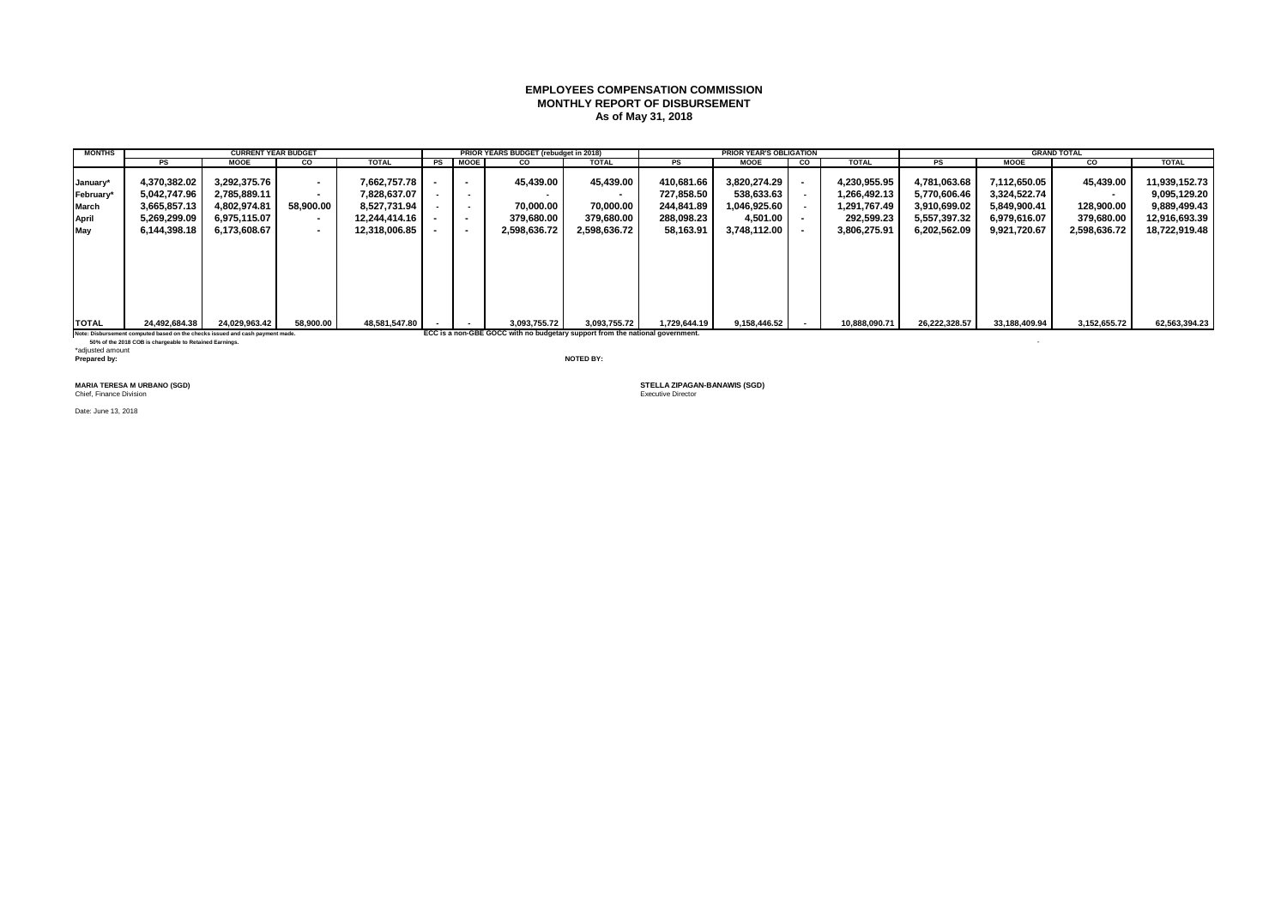### **EMPLOYEES COMPENSATION COMMISSION MONTHLY REPORT OF DISBURSEMENT As of May 31, 2018**

| <b>MONTHS</b> |               | <b>CURRENT YEAR BUDGET</b> |           |               |                          | PRIOR YEARS BUDGET (rebudget in 2018) |              |              | <b>PRIOR YEAR'S OBLIGATION</b> |                |               |               |               | <b>GRAND TOTAL</b> |               |
|---------------|---------------|----------------------------|-----------|---------------|--------------------------|---------------------------------------|--------------|--------------|--------------------------------|----------------|---------------|---------------|---------------|--------------------|---------------|
|               | PS            | <b>MOOE</b>                | <b>CO</b> | <b>TOTAL</b>  | PS MOOE                  | CO                                    | <b>TOTAL</b> | <b>PS</b>    | <b>MOOE</b>                    | $\overline{c}$ | <b>TOTAL</b>  | PS            | <b>MOOE</b>   | CO                 | <b>TOTAL</b>  |
| January*      | 4.370.382.02  | 3.292.375.76               | $\sim$    | 7.662.757.78  | $\sim$                   | 45.439.00                             | 45.439.00    | 410.681.66   | 3.820.274.29                   |                | 4.230.955.95  | 4.781.063.68  | 7.112.650.05  | 45.439.00          | 11,939,152.73 |
| February*     | 5,042,747.96  | 2,785,889.11               | $\sim$    | 7,828,637.07  | $\sim$                   |                                       |              | 727,858.50   | 538,633.63                     |                | 266,492.13    | 5,770,606.46  | 3,324,522.74  |                    | 9,095,129.20  |
| March         | 3.665.857.13  | 4.802.974.81               | 58.900.00 | 8.527.731.94  | $\sim$                   | 70.000.00                             | 70.000.00    | 244.841.89   | 1.046.925.60                   |                | ,291,767.49   | 3.910.699.02  | 5.849.900.41  | 128.900.00         | 9,889,499.43  |
| April         | 5,269,299.09  | 6,975,115.07               | $\sim$    | 12.244.414.16 | $\overline{\phantom{a}}$ | 379.680.00                            | 379.680.00   | 288,098.23   | 4,501.00                       |                | 292,599.23    | 5,557,397.32  | 6,979,616.07  | 379,680.00         | 12,916,693.39 |
| May           | 6,144,398.18  | 6.173.608.67               | $\sim$    | 12.318.006.85 | $\overline{\phantom{a}}$ | 2,598,636.72                          | 2,598,636.72 | 58,163.91    | 3,748,112.00                   |                | 3.806.275.91  | 6,202,562.09  | 9.921.720.67  | 2,598,636.72       | 18,722,919.48 |
|               |               |                            |           |               |                          |                                       |              |              |                                |                |               |               |               |                    |               |
| <b>TOTAL</b>  | 24,492,684.38 | 24,029,963.42              | 58,900.00 | 48,581,547.80 | $\sim$                   | 3,093,755.72                          | 3,093,755.72 | 1,729,644.19 | 9,158,446.52                   |                | 10,888,090.71 | 26,222,328.57 | 33,188,409.94 | 3,152,655.72       | 62,563,394.23 |

**Note: Disbursement computed based on the checks issued and cash payment made. ECC is a non-GBE GOCC with no budgetary support from the national government.**

 **50% of the 2018 COB is chargeable to Retained Earnings.** - \*adjusted amount **Prepared by: NOTED BY:**

**MARIA TERESA M URBANO (SGD)**<br>Chief, Finance Division

Date: June 13, 2018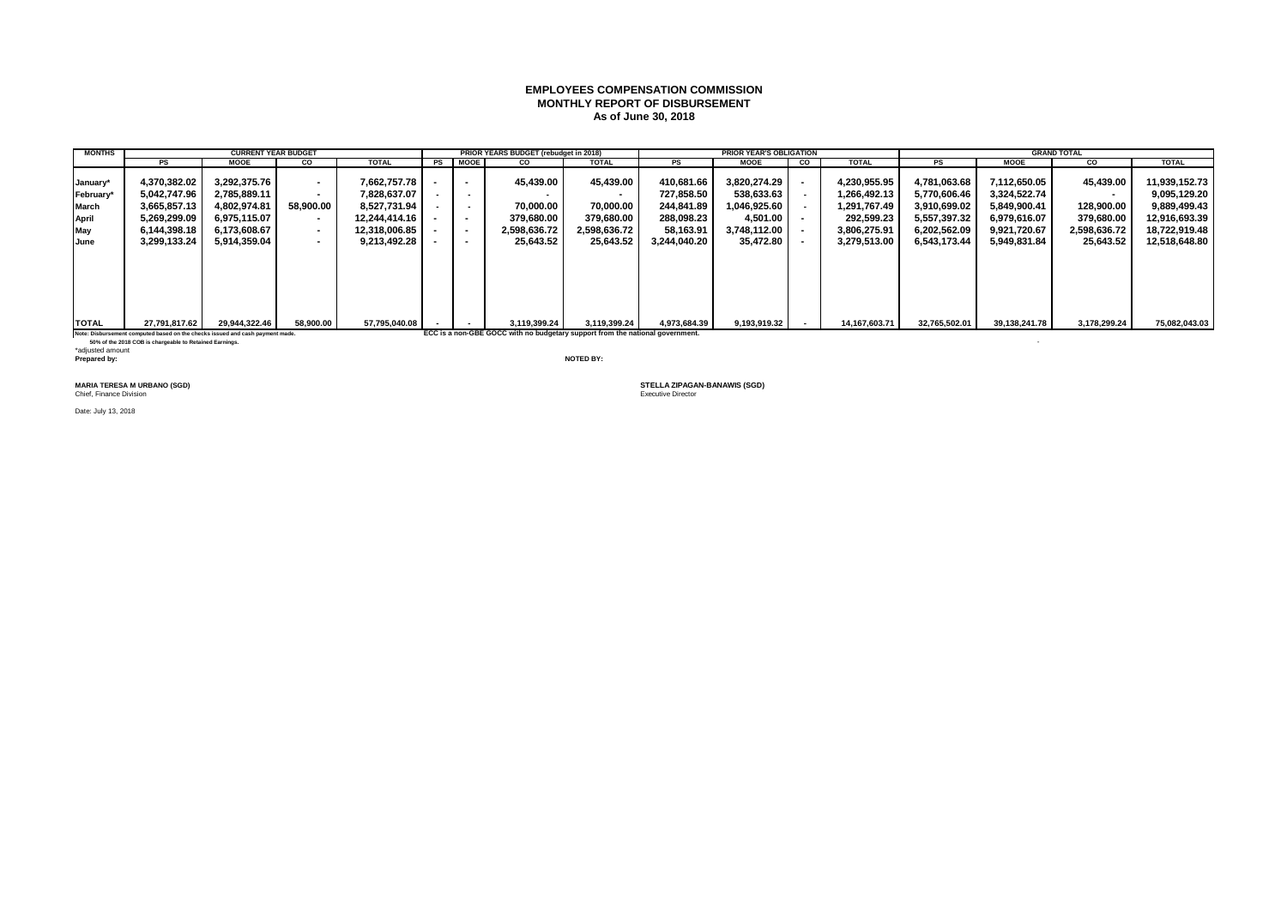### **EMPLOYEES COMPENSATION COMMISSION MONTHLY REPORT OF DISBURSEMENT As of June 30, 2018**

| <b>MONTHS</b> |               | <b>CURRENT YEAR BUDGET</b> |           |               |      |                | PRIOR YEARS BUDGET (rebudget in 2018) |              |              | <b>PRIOR YEAR'S OBLIGATION</b> |                          |                  |               |               | <b>GRAND TOTAL</b> |               |
|---------------|---------------|----------------------------|-----------|---------------|------|----------------|---------------------------------------|--------------|--------------|--------------------------------|--------------------------|------------------|---------------|---------------|--------------------|---------------|
|               | <b>PS</b>     | <b>MOOE</b>                | <b>CO</b> | <b>TOTAL</b>  | PS I | <b>MOOE</b>    | <b>CO</b>                             | <b>TOTAL</b> | PS           | <b>MOOE</b>                    | $\overline{\phantom{a}}$ | <b>TOTAL</b>     | PS            | <b>MOOE</b>   | CO                 | <b>TOTAL</b>  |
| January*      | 4.370.382.02  | 3.292.375.76               | $\sim$    | 7.662.757.78  |      |                | 45.439.00                             | 45.439.00    | 410.681.66   | 3.820.274.29                   |                          | 4.230.955.95     | 4.781.063.68  | 7.112.650.05  | 45.439.00          | 11,939,152.73 |
| February*     | 5,042,747.96  | 2,785,889.11               | $\sim$    | 7,828,637.07  |      | $\sim$         |                                       |              | 727.858.50   | 538.633.63                     |                          | 1,266,492.13     | 5.770.606.46  | 3,324,522.74  |                    | 9,095,129.20  |
| March         | 3.665.857.13  | 4.802.974.81               | 58.900.00 | 8.527.731.94  |      | $\sim$         | 70.000.00                             | 70.000.00    | 244.841.89   | 1.046.925.60                   |                          | 1.291.767.49     | 3.910.699.02  | 5.849.900.41  | 128.900.00         | 9,889,499.43  |
| April         | 5,269,299.09  | 6.975.115.07               | $\sim$    | 12.244.414.16 |      |                | 379.680.00                            | 379.680.00   | 288,098.23   | 4.501.00 L                     |                          | 292.599.23       | 5,557,397.32  | 6.979.616.07  | 379,680.00         | 12,916,693.39 |
| May           | 6.144.398.18  | 6.173.608.67               | $\sim$    | 12,318,006.85 |      | $\blacksquare$ | 2.598.636.72                          | 2.598.636.72 | 58,163.91    | 3.748.112.00                   |                          | 3.806.275.91     | 6.202.562.09  | 9.921.720.67  | 2,598,636.72       | 18,722,919.48 |
| <b>June</b>   | 3,299,133.24  | 5.914.359.04               | $\sim$    | 9,213,492.28  |      |                | 25,643.52                             | 25,643.52    | 3.244.040.20 | 35,472.80                      |                          | 3,279,513.00     | 6,543,173.44  | 5.949.831.84  | 25,643.52          | 12,518,648.80 |
|               |               |                            |           |               |      |                |                                       |              |              |                                |                          |                  |               |               |                    |               |
| <b>TOTAL</b>  | 27,791,817.62 | 29,944,322.46              | 58,900.00 | 57,795,040.08 |      | $\sim$         | 3,119,399.24                          | 3,119,399.24 | 4,973,684.39 | 9,193,919.32                   |                          | 14, 167, 603. 71 | 32,765,502.01 | 39,138,241.78 | 3,178,299.24       | 75,082,043.03 |

Note: Disbursement computed based on the checks issued and cash payment made. **ECC** is a non-GBE GOCC with no budgetary support from the national government.

 **50% of the 2018 COB is chargeable to Retained Earnings.** - \*adjusted amount **Prepared by: NOTED BY:**

**MARIA TERESA M URBANO (SGD)**<br>Chief, Finance Division

Date: July 13, 2018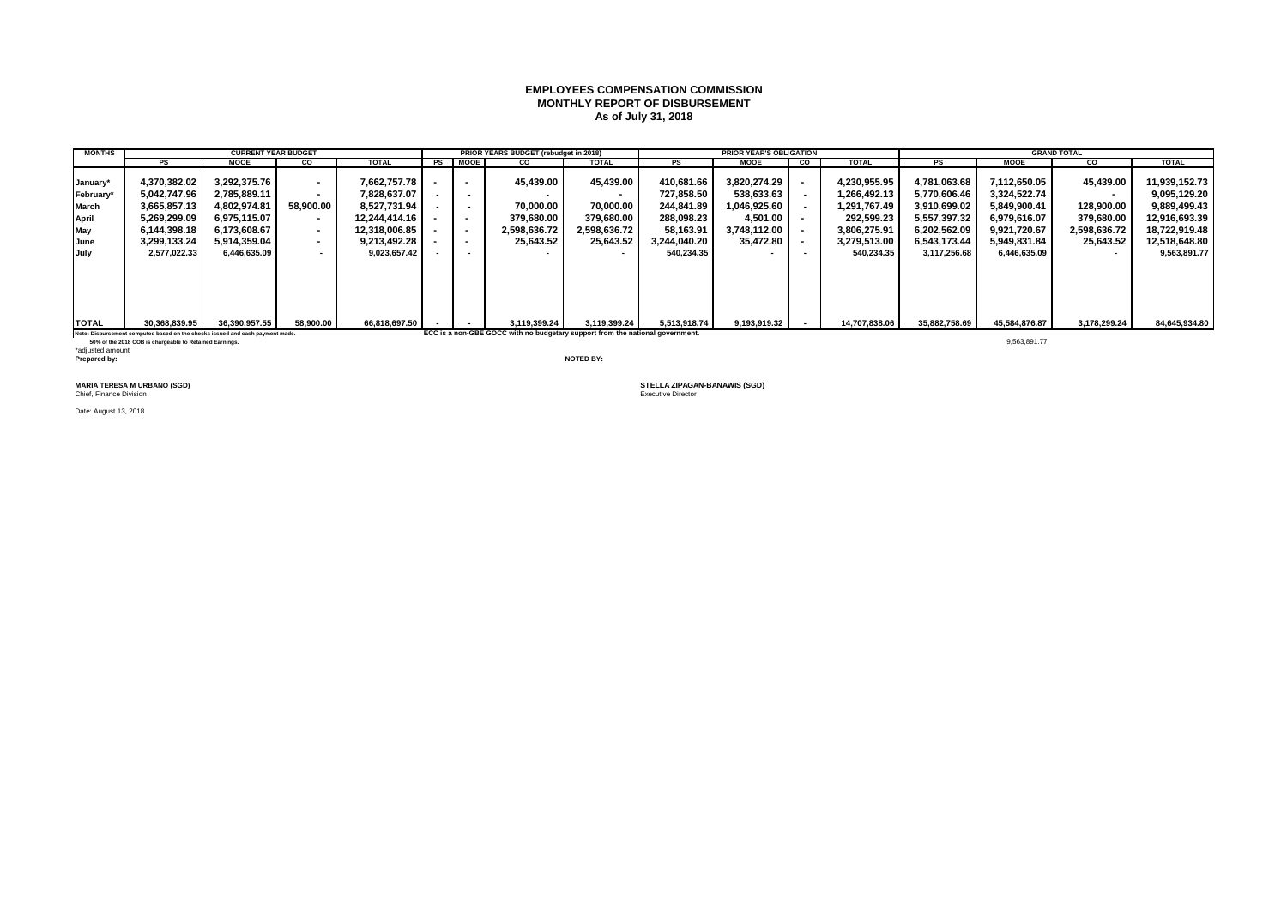### **EMPLOYEES COMPENSATION COMMISSION MONTHLY REPORT OF DISBURSEMENT As of July 31, 2018**

| <b>MONTHS</b> |               | <b>CURRENT YEAR BUDGET</b> |           |               |    |                          | PRIOR YEARS BUDGET (rebudget in 2018) |                          |              | <b>PRIOR YEAR'S OBLIGATION</b> |    |               |               |               | <b>GRAND TOTAL</b>       |               |
|---------------|---------------|----------------------------|-----------|---------------|----|--------------------------|---------------------------------------|--------------------------|--------------|--------------------------------|----|---------------|---------------|---------------|--------------------------|---------------|
|               | PS            | <b>MOOE</b>                | <b>CO</b> | <b>TOTAL</b>  | PS | <b>MOOE</b>              | <b>CO</b>                             | <b>TOTAL</b>             | PS           | <b>MOOE</b>                    | CO | <b>TOTAL</b>  | <b>PS</b>     | <b>MOOE</b>   | CO                       | <b>TOTAL</b>  |
|               |               |                            |           |               |    |                          |                                       |                          |              |                                |    |               |               |               |                          |               |
| January*      | 4.370.382.02  | 3.292.375.76               | $\sim$    | 7.662.757.78  |    | $\overline{\phantom{a}}$ | 45.439.00                             | 45.439.00                | 410.681.66   | 3.820.274.29                   |    | 4.230.955.95  | 4.781.063.68  | 7.112.650.05  | 45.439.00                | 11,939,152.73 |
| February*     | 5.042.747.96  | 2.785.889.11               | $\sim$    | 7.828.637.07  |    | $\sim$                   |                                       |                          | 727.858.50   | 538.633.63                     |    | .266.492.13   | 5.770.606.46  | 3,324,522.74  |                          | 9.095.129.20  |
| March         | 3.665.857.13  | 4.802.974.81               | 58.900.00 | 8.527.731.94  |    | $\sim$                   | 70.000.00                             | 70.000.00                | 244.841.89   | 1.046.925.60                   |    | .291.767.49   | 3.910.699.02  | 5.849.900.41  | 128,900.00               | 9,889,499.43  |
| April         | 5,269,299.09  | 6,975,115.07               | $\sim$    | 12.244.414.16 |    | $\overline{\phantom{a}}$ | 379.680.00                            | 379.680.00               | 288,098.23   | 4,501.00                       |    | 292.599.23    | 5,557,397.32  | 6,979,616.07  | 379,680.00               | 12,916,693.39 |
| May           | 6.144.398.18  | 6.173.608.67               | $\sim$    | 12.318.006.85 |    | $\overline{\phantom{a}}$ | 2,598,636.72                          | 2.598.636.72             | 58.163.91    | 3.748.112.00                   |    | 3.806.275.91  | 6,202,562.09  | 9.921.720.67  | 2,598,636.72             | 18.722.919.48 |
| June          | 3,299,133.24  | 5.914.359.04               | $\sim$    | 9.213.492.28  |    | $\overline{\phantom{a}}$ | 25,643.52                             | 25,643.52                | 3.244.040.20 | 35,472.80                      |    | 3,279,513.00  | 6.543.173.44  | 5.949.831.84  | 25,643.52                | 12,518,648.80 |
| July          | 2,577,022.33  | 6,446,635.09               | $\sim$    | 9,023,657.42  |    | $\sim$                   |                                       | $\overline{\phantom{a}}$ | 540.234.35   |                                |    | 540,234.35    | 3,117,256.68  | 6,446,635.09  | $\overline{\phantom{a}}$ | 9,563,891.77  |
|               |               |                            |           |               |    |                          |                                       |                          |              |                                |    |               |               |               |                          |               |
| <b>TOTAL</b>  | 30,368,839.95 | 36,390,957.55              | 58,900.00 | 66,818,697.50 |    |                          | 3,119,399.24                          | 3,119,399.24             | 5,513,918.74 | 9,193,919.32                   |    | 14,707,838.06 | 35,882,758.69 | 45.584.876.87 | 3,178,299.24             | 84,645,934.80 |

Note: Disbursement computed based on the checks issued and cash payment made. **ECC is a non-GBE GOCC with no budgetary support from the national government.** 

 **50% of the 2018 COB is chargeable to Retained Earnings.** 9,563,891.77 \*adjusted amount **Prepared by: NOTED BY:**

**MARIA TERESA M URBANO (SGD)**<br>Chief, Finance Division

Date: August 13, 2018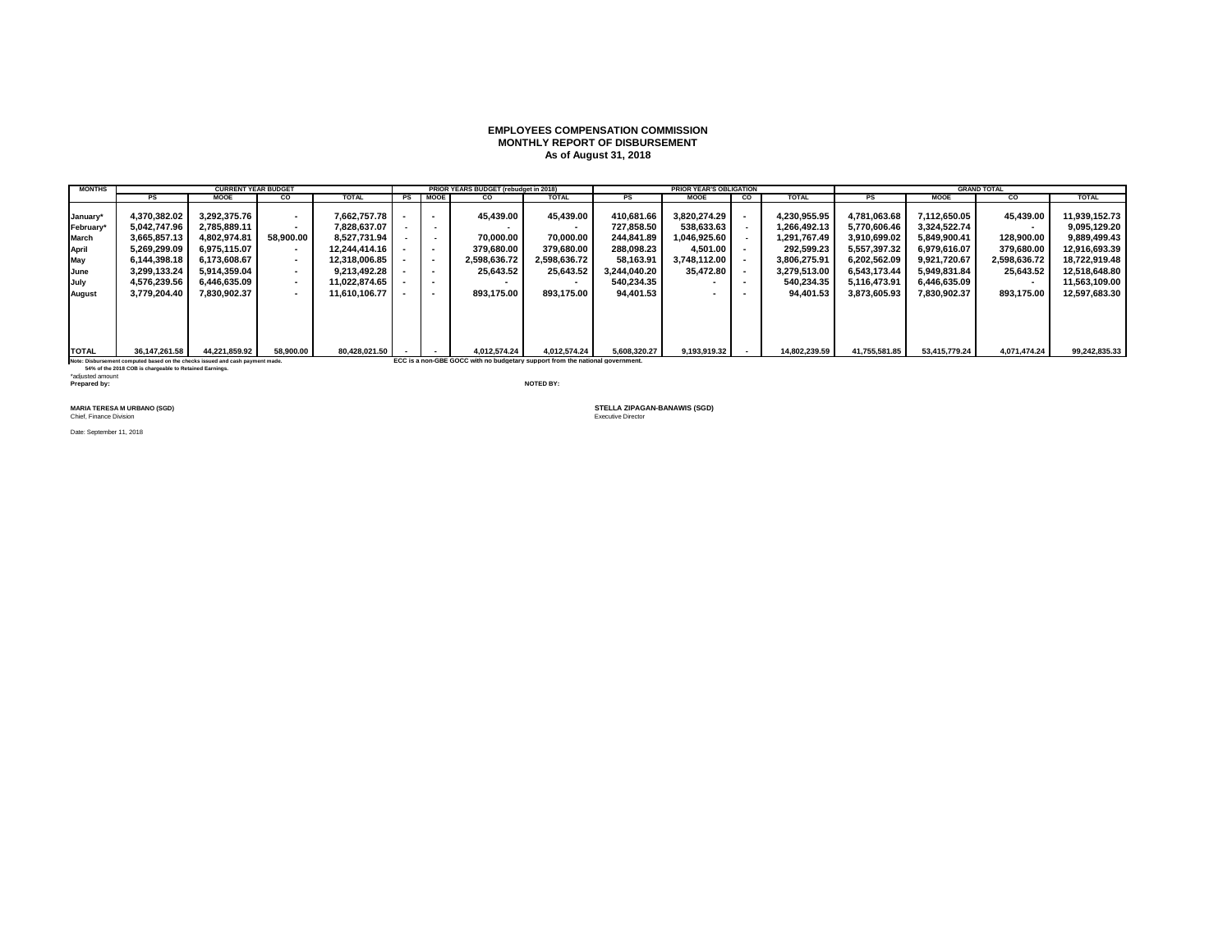#### **EMPLOYEES COMPENSATION COMMISSION MONTHLY REPORT OF DISBURSEMENT As of August 31, 2018**

| <b>MONTHS</b> |                                                                               | <b>CURRENT YEAR BUDGET</b> |           |               |                          | PRIOR YEARS BUDGET (rebudget in 2018)                                         |              |              | <b>PRIOR YEAR'S OBLIGATION</b> |                |               |               |               | <b>GRAND TOTAL</b>       |               |
|---------------|-------------------------------------------------------------------------------|----------------------------|-----------|---------------|--------------------------|-------------------------------------------------------------------------------|--------------|--------------|--------------------------------|----------------|---------------|---------------|---------------|--------------------------|---------------|
|               | PS                                                                            | <b>MOOE</b>                | <b>CO</b> | <b>TOTAL</b>  | PS MOOE                  | CO                                                                            | <b>TOTAL</b> | PS           | <b>MOOE</b>                    | $\overline{c}$ | <b>TOTAL</b>  | <b>PS</b>     | <b>MOOE</b>   | co                       | <b>TOTAL</b>  |
|               |                                                                               |                            |           |               |                          |                                                                               |              |              |                                |                |               |               |               |                          |               |
| January*      | 4,370,382.02                                                                  | 3.292.375.76               | $\sim$    | 7.662.757.78  | $\overline{\phantom{a}}$ | 45,439.00                                                                     | 45.439.00    | 410.681.66   | 3.820.274.29                   |                | 4.230.955.95  | 4.781.063.68  | 7.112.650.05  | 45,439.00                | 11,939,152.73 |
| February*     | 5.042.747.96                                                                  | 2.785.889.11               | $\sim$    | 7.828.637.07  |                          |                                                                               |              | 727.858.50   | 538.633.63                     |                | 1.266.492.13  | 5.770.606.46  | 3.324.522.74  | $\sim$                   | 9.095.129.20  |
| March         | 3.665.857.13                                                                  | 4.802.974.81               | 58.900.00 | 8.527.731.94  |                          | 70.000.00                                                                     | 70.000.00    | 244.841.89   | 1.046.925.60                   |                | 1.291.767.49  | 3.910.699.02  | 5.849.900.41  | 128.900.00               | 9.889.499.43  |
| April         | 5,269,299.09                                                                  | 6.975.115.07               | $\sim$    | 12.244.414.16 | $\sim$                   | 379.680.00                                                                    | 379.680.00   | 288.098.23   | 4.501.00                       |                | 292.599.23    | 5,557,397.32  | 6.979.616.07  | 379,680.00               | 12,916,693.39 |
| May           | 6.144.398.18                                                                  | 6.173.608.67               |           | 12.318.006.85 | $\overline{\phantom{a}}$ | 2,598,636.72                                                                  | 2.598.636.72 | 58.163.91    | 3.748.112.00                   |                | 3.806.275.91  | 6.202.562.09  | 9.921.720.67  | 2,598,636.72             | 18.722.919.48 |
| June          | 3.299.133.24                                                                  | 5.914.359.04               | $\sim$    | 9.213.492.28  | $\overline{\phantom{a}}$ | 25.643.52                                                                     | 25,643.52    | 3.244.040.20 | 35.472.80                      |                | 3,279,513.00  | 6.543.173.44  | 5.949.831.84  | 25,643.52                | 12,518,648.80 |
| July          | 4.576.239.56                                                                  | 6.446.635.09               |           | 11.022.874.65 | $\overline{\phantom{a}}$ |                                                                               |              | 540.234.35   |                                |                | 540.234.35    | 5.116.473.91  | 6.446.635.09  | $\overline{\phantom{a}}$ | 11.563.109.00 |
| August        | 3.779.204.40                                                                  | 7.830.902.37               | $\sim$    | 11.610.106.77 | $\overline{\phantom{a}}$ | 893.175.00                                                                    | 893.175.00   | 94.401.53    |                                |                | 94.401.53     | 3.873.605.93  | 7.830.902.37  | 893,175.00               | 12,597,683.30 |
|               |                                                                               |                            |           |               |                          |                                                                               |              |              |                                |                |               |               |               |                          |               |
|               |                                                                               |                            |           |               |                          |                                                                               |              |              |                                |                |               |               |               |                          |               |
|               |                                                                               |                            |           |               |                          |                                                                               |              |              |                                |                |               |               |               |                          |               |
|               |                                                                               |                            |           |               |                          |                                                                               |              |              |                                |                |               |               |               |                          |               |
| <b>TOTAL</b>  | 36,147,261.58                                                                 | 44,221,859.92              | 58,900.00 | 80.428.021.50 |                          | 4.012.574.24                                                                  | 4.012.574.24 | 5.608.320.27 | 9,193,919.32                   |                | 14,802,239.59 | 41,755,581.85 | 53,415,779.24 | 4,071,474.24             | 99,242,835.33 |
|               | Note: Disbursement computed based on the checks issued and cash payment made. |                            |           |               |                          | ECC is a non-GBE GOCC with no budgetary support from the national government. |              |              |                                |                |               |               |               |                          |               |

 **54% of the 2018 COB is chargeable to Retained Earnings.** \*adjusted amount **Prepared by: NOTED BY:**

**Chief, Finance Division** 

Date: September 11, 2018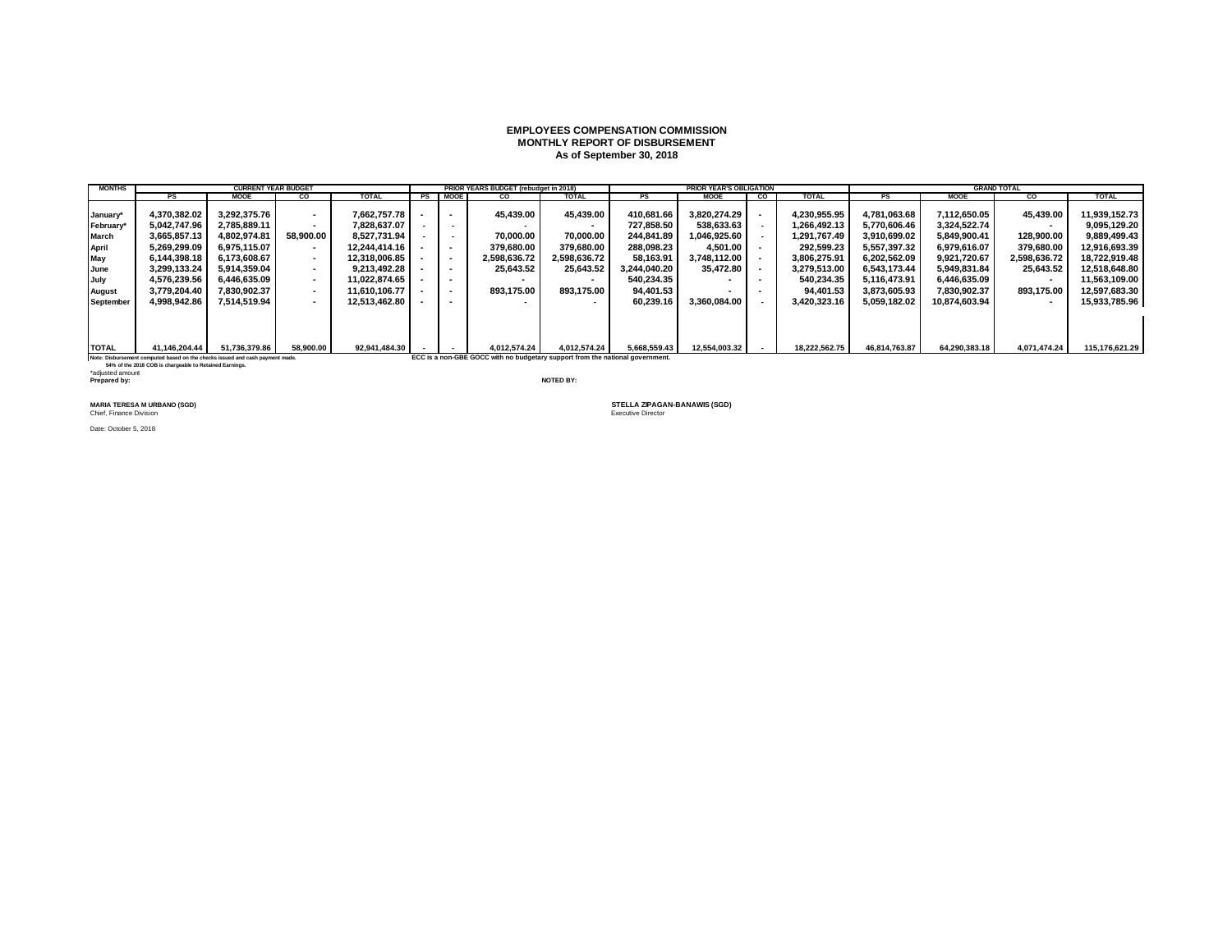#### **EMPLOYEES COMPENSATION COMMISSION MONTHLY REPORT OF DISBURSEMENT As of September 30, 2018**

| <b>MONTHS</b>    |                                                                               |                            |           |               |                          |                                                                               |              |              |                                |    |               |               |               |                          |                |
|------------------|-------------------------------------------------------------------------------|----------------------------|-----------|---------------|--------------------------|-------------------------------------------------------------------------------|--------------|--------------|--------------------------------|----|---------------|---------------|---------------|--------------------------|----------------|
|                  |                                                                               | <b>CURRENT YEAR BUDGET</b> |           |               |                          | PRIOR YEARS BUDGET (rebudget in 2018)                                         |              |              | <b>PRIOR YEAR'S OBLIGATION</b> |    |               |               |               | <b>GRAND TOTAL</b>       |                |
|                  | PS                                                                            | <b>MOOE</b>                | CO        | <b>TOTAL</b>  | PS MOOE                  | CO                                                                            | <b>TOTAL</b> | <b>PS</b>    | <b>MOOE</b>                    | CO | <b>TOTAL</b>  | PS            | <b>MOOE</b>   | CO.                      | <b>TOTAL</b>   |
|                  | 4,370,382.02                                                                  | 3.292.375.76               | $\sim$    | 7.662.757.78  |                          | 45.439.00                                                                     | 45.439.00    | 410.681.66   | 3.820.274.29                   |    | 4.230.955.95  | 4.781.063.68  | 7.112.650.05  | 45,439.00                | 11.939.152.73  |
| January*         |                                                                               |                            |           |               |                          |                                                                               |              |              |                                |    |               |               |               |                          |                |
| February*        | 5.042.747.96                                                                  | 2.785.889.11               | $\sim$    | 7.828.637.07  |                          |                                                                               |              | 727.858.50   | 538.633.63                     |    | 1.266.492.13  | 5.770.606.46  | 3.324.522.74  | $\overline{\phantom{a}}$ | 9.095.129.20   |
| March            | 3.665.857.13                                                                  | 4.802.974.81               | 58.900.00 | 8.527.731.94  |                          | 70.000.00                                                                     | 70.000.00    | 244.841.89   | 1.046.925.60                   |    | 1.291.767.49  | 3.910.699.02  | 5.849.900.41  | 128.900.00               | 9.889.499.43   |
| April            | 5,269,299.09                                                                  | 6.975.115.07               | $\sim$    | 12.244.414.16 | $\overline{\phantom{a}}$ | 379.680.00                                                                    | 379.680.00   | 288.098.23   | 4.501.00                       |    | 292.599.23    | 5,557,397.32  | 6.979.616.07  | 379,680.00               | 12,916,693.39  |
| May              | 6.144.398.18                                                                  | 6.173.608.67               | $\sim$    | 12.318.006.85 |                          | 2.598.636.72                                                                  | 2.598.636.72 | 58.163.91    | 3.748.112.00                   |    | 3.806.275.91  | 6.202.562.09  | 9.921.720.67  | 2.598.636.72             | 18.722.919.48  |
| June             | 3.299.133.24                                                                  | 5.914.359.04               | $\sim$    | 9.213.492.28  | $\overline{\phantom{a}}$ | 25.643.52                                                                     | 25,643.52    | 3.244.040.20 | 35.472.80                      |    | 3.279.513.00  | 6.543.173.44  | 5.949.831.84  | 25,643.52                | 12,518,648.80  |
| July             | 4.576.239.56                                                                  | 6.446.635.09               |           | 11.022.874.65 |                          |                                                                               |              | 540.234.35   |                                |    | 540.234.35    | 5.116.473.91  | 6.446.635.09  | $\overline{\phantom{a}}$ | 11.563.109.00  |
| August           | 3.779.204.40                                                                  | 7.830.902.37               | $\sim$    | 11.610.106.77 | $\overline{\phantom{a}}$ | 893.175.00                                                                    | 893.175.00   | 94.401.53    |                                |    | 94.401.53     | 3.873.605.93  | 7.830.902.37  | 893.175.00               | 12.597.683.30  |
| <b>September</b> | 4.998.942.86                                                                  | 7.514.519.94               | $\sim$    | 12.513.462.80 |                          |                                                                               |              | 60.239.16    | 3.360.084.00                   |    | 3.420.323.16  | 5.059.182.02  | 10.874.603.94 | $\overline{\phantom{a}}$ | 15,933,785.96  |
|                  |                                                                               |                            |           |               |                          |                                                                               |              |              |                                |    |               |               |               |                          |                |
| <b>TOTAL</b>     | 41.146.204.44                                                                 | 51,736,379.86              | 58,900.00 | 92,941,484.30 |                          | 4.012.574.24                                                                  | 4.012.574.24 | 5,668,559.43 | 12,554,003.32                  |    | 18,222,562.75 | 46,814,763.87 | 64,290,383.18 | 4,071,474.24             | 115,176,621.29 |
|                  | Note: Disbursement computed based on the checks issued and cash payment made. |                            |           |               |                          | ECC is a non-GBE GOCC with no budgetary support from the national government. |              |              |                                |    |               |               |               |                          |                |

 **54% of the 2018 COB is chargeable to Retained Earnings.** \*adjusted amount **Prepared by: NOTED BY:**

Chief, Finance Division

Date: October 5, 2018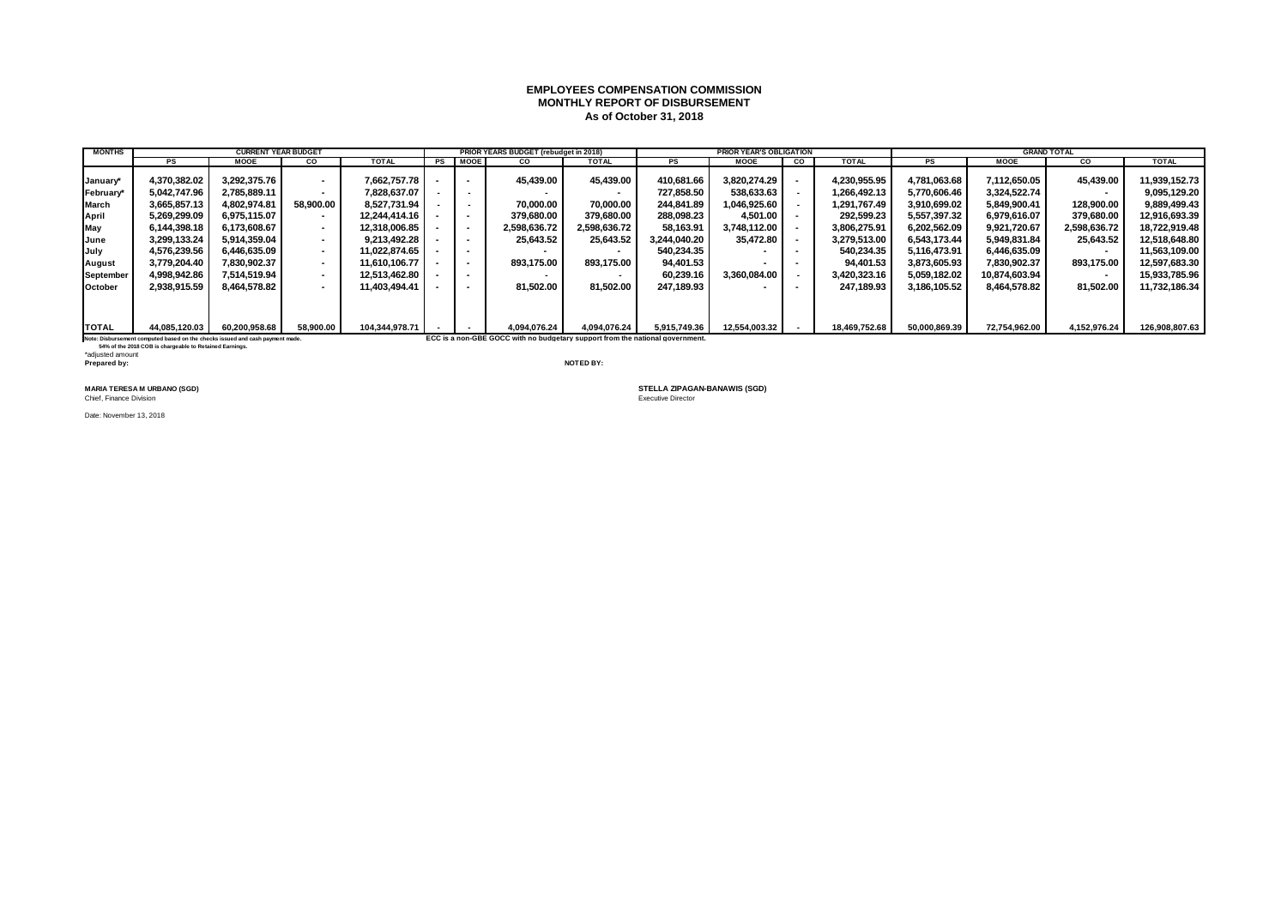### **EMPLOYEES COMPENSATION COMMISSION MONTHLY REPORT OF DISBURSEMENT As of October 31, 2018**

| <b>MONTHS</b>  |                                                                               | <b>CURRENT YEAR BUDGET</b> |           |                |      |             | PRIOR YEARS BUDGET (rebudget in 2018)                                         |              |              | <b>PRIOR YEAR'S OBLIGATION</b> |           |               |               |               | <b>GRAND TOTAL</b>       |                |
|----------------|-------------------------------------------------------------------------------|----------------------------|-----------|----------------|------|-------------|-------------------------------------------------------------------------------|--------------|--------------|--------------------------------|-----------|---------------|---------------|---------------|--------------------------|----------------|
|                | PS                                                                            | <b>MOOE</b>                | co        | <b>TOTAL</b>   | PS I | <b>MOOE</b> | <b>CO</b>                                                                     | <b>TOTAL</b> | <b>PS</b>    | <b>MOOE</b>                    | <b>CO</b> | <b>TOTAL</b>  | PS            | <b>MOOE</b>   | <b>CO</b>                | <b>TOTAL</b>   |
|                |                                                                               |                            |           |                |      |             |                                                                               |              |              |                                |           |               |               |               |                          |                |
| January*       | 4.370.382.02                                                                  | 3.292.375.76               | $\sim$    | 7.662.757.78   |      |             | 45.439.00                                                                     | 45.439.00    | 410.681.66   | 3.820.274.29                   |           | 4,230,955.95  | 4.781.063.68  | 7.112.650.05  | 45.439.00                | 11,939,152.73  |
| February       | 5.042.747.96                                                                  | 2,785,889.11               | . .       | 7.828.637.07   |      |             |                                                                               |              | 727.858.50   | 538,633.63                     |           | 1,266,492.13  | 5,770,606.46  | 3,324,522.74  |                          | 9,095,129.20   |
| March          | 3.665.857.13                                                                  | 4.802.974.81               | 58.900.00 | 8.527.731.94   |      |             | 70.000.00                                                                     | 70.000.00    | 244.841.89   | 1,046,925.60                   |           | 1.291.767.49  | 3,910,699.02  | 5.849.900.41  | 128.900.00               | 9,889,499.43   |
| April          | 5,269,299.09                                                                  | 6.975.115.07               | . .       | 12.244.414.16  |      |             | 379.680.00                                                                    | 379.680.00   | 288.098.23   | 4,501.00                       |           | 292,599.23    | 5,557,397.32  | 6.979.616.07  | 379.680.00               | 12,916,693.39  |
| May            | 6.144.398.18                                                                  | 6.173.608.67               | $\sim$    | 12.318.006.85  |      | . .         | 2.598.636.72                                                                  | 2,598,636.72 | 58.163.91    | 3.748.112.00                   |           | 3.806.275.91  | 6.202.562.09  | 9.921.720.67  | 2.598.636.72             | 18,722,919.48  |
| June           | 3.299.133.24                                                                  | 5.914.359.04               | $\sim$    | 9.213.492.28   |      |             | 25.643.52                                                                     | 25,643.52    | 3.244.040.20 | 35.472.80                      |           | 3,279,513.00  | 6.543.173.44  | 5.949.831.84  | 25,643.52                | 12,518,648.80  |
| July           | 4,576,239.56                                                                  | 6.446.635.09               | $\sim$    | 11.022.874.65  |      |             |                                                                               |              | 540.234.35   |                                | . .       | 540.234.35    | 5.116.473.91  | 6.446.635.09  | $\overline{\phantom{a}}$ | 11.563.109.00  |
| August         | 3.779.204.40                                                                  | 7,830,902.37               |           | 11.610.106.77  |      |             | 893.175.00                                                                    | 893.175.00   | 94.401.53    |                                |           | 94.401.53     | 3,873,605.93  | 7.830.902.37  | 893.175.00               | 12,597,683.30  |
| September      | 4.998.942.86                                                                  | 7.514.519.94               | $\sim$    | 12.513.462.80  |      |             |                                                                               |              | 60.239.16    | 3.360.084.00                   |           | 3.420.323.16  | 5.059.182.02  | 10.874.603.94 |                          | 15.933.785.96  |
| <b>October</b> | 2.938.915.59                                                                  | 8.464.578.82               |           | 11.403.494.41  |      |             | 81.502.00                                                                     | 81.502.00    | 247.189.93   |                                |           | 247.189.93    | 3,186,105.52  | 8.464.578.82  | 81,502.00                | 11,732,186.34  |
|                |                                                                               |                            |           |                |      |             |                                                                               |              |              |                                |           |               |               |               |                          |                |
|                |                                                                               |                            |           |                |      |             |                                                                               |              |              |                                |           |               |               |               |                          |                |
| <b>TOTAL</b>   | 44,085,120.03                                                                 | 60,200,958.68              | 58.900.00 | 104.344.978.71 |      |             | 4.094.076.24                                                                  | 4.094.076.24 | 5,915,749.36 | 12,554,003.32                  |           | 18,469,752.68 | 50,000,869.39 | 72,754,962.00 | 4,152,976.24             | 126,908,807.63 |
|                | Note: Disbursement computed based on the checks issued and cash payment made. |                            |           |                |      |             | ECC is a non-GBE GOCC with no budgetary support from the national government. |              |              |                                |           |               |               |               |                          |                |

 **54% of the 2018 COB is chargeable to Retained Earnings.** \*adjusted amount **Prepared by: NOTED BY:**

Chief, Finance Division

Date: November 13, 2018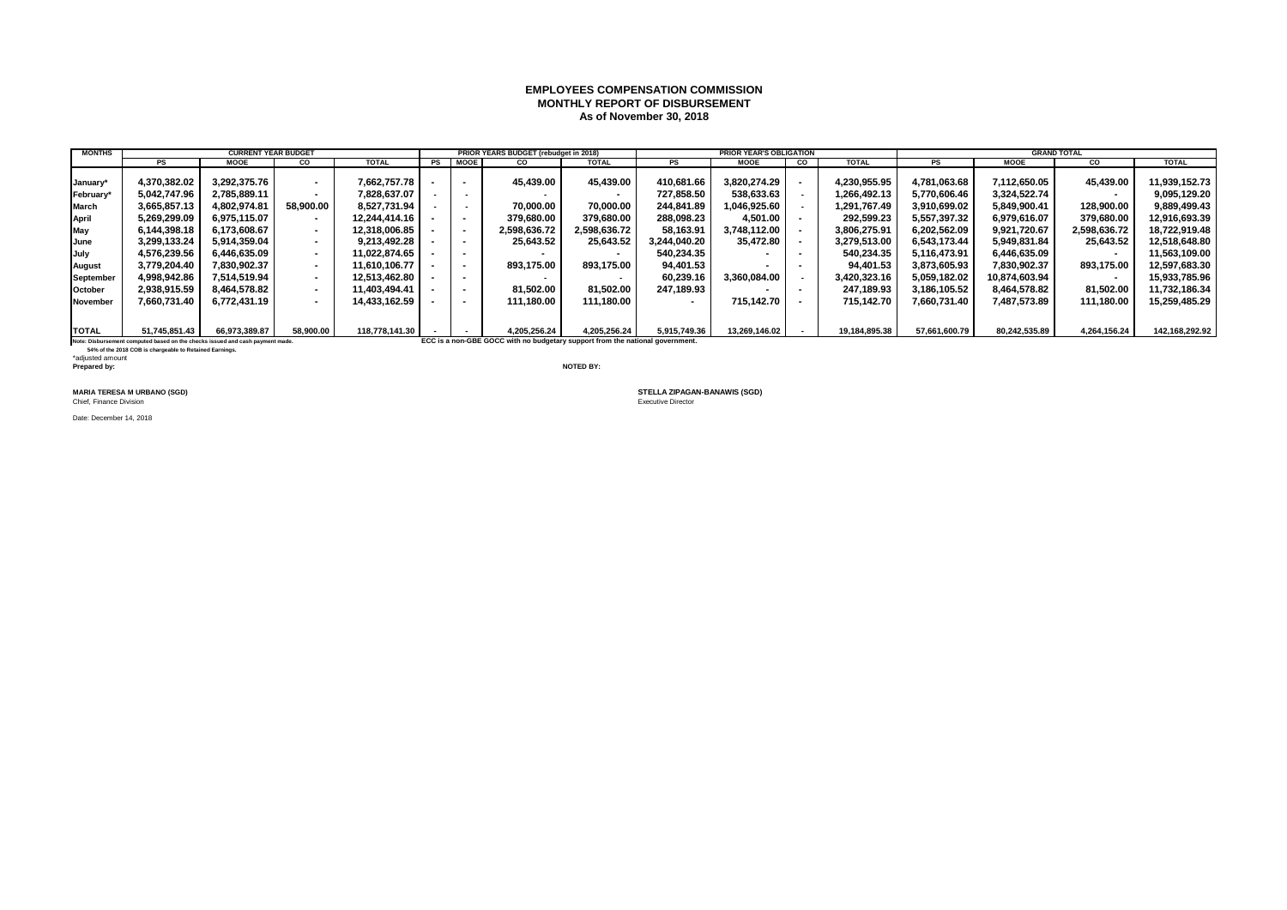### **EMPLOYEES COMPENSATION COMMISSION MONTHLY REPORT OF DISBURSEMENT As of November 30, 2018**

| <b>MONTHS</b>                                                                                                                                  |                                                                               | <b>CURRENT YEAR BUDGET</b> |                          |               |  |                          | PRIOR YEARS BUDGET (rebudget in 2018)                                         |              |                          | <b>PRIOR YEAR'S OBLIGATION</b> |           |               |               |               | <b>GRAND TOTAL</b>       |                |
|------------------------------------------------------------------------------------------------------------------------------------------------|-------------------------------------------------------------------------------|----------------------------|--------------------------|---------------|--|--------------------------|-------------------------------------------------------------------------------|--------------|--------------------------|--------------------------------|-----------|---------------|---------------|---------------|--------------------------|----------------|
|                                                                                                                                                | PS                                                                            | <b>MOOE</b>                | <b>CO</b>                | <b>TOTAL</b>  |  | PS MOOE                  | <b>CO</b>                                                                     | <b>TOTAL</b> | PS                       | <b>MOOE</b>                    | <b>CO</b> | <b>TOTAL</b>  | PS            | <b>MOOE</b>   | CO.                      | <b>TOTAL</b>   |
|                                                                                                                                                |                                                                               |                            |                          |               |  |                          |                                                                               |              |                          |                                |           |               |               |               |                          |                |
| January*                                                                                                                                       | 4.370.382.02                                                                  | 3.292.375.76               | $\sim$                   | 7.662.757.78  |  |                          | 45.439.00                                                                     | 45.439.00    | 410.681.66               | 3.820.274.29                   |           | 4.230.955.95  | 4.781.063.68  | 7.112.650.05  | 45,439.00                | 11.939.152.73  |
| February*                                                                                                                                      | 5.042.747.96                                                                  | 2,785,889.11               |                          | 7.828.637.07  |  |                          |                                                                               |              | 727.858.50               | 538,633.63                     |           | 1.266.492.13  | 5,770,606.46  | 3,324,522.74  | $\overline{\phantom{a}}$ | 9,095,129.20   |
| March                                                                                                                                          | 3.665.857.13                                                                  | 4.802.974.81               | 58.900.00                | 8.527.731.94  |  |                          | 70.000.00                                                                     | 70.000.00    | 244.841.89               | 1.046.925.60                   |           | 1.291.767.49  | 3.910.699.02  | 5.849.900.41  | 128.900.00               | 9.889.499.43   |
| April                                                                                                                                          | 5.269.299.09                                                                  | 6,975,115.07               |                          | 12.244.414.16 |  |                          | 379.680.00                                                                    | 379.680.00   | 288.098.23               | 4,501.00                       |           | 292.599.23    | 5.557.397.32  | 6.979.616.07  | 379,680.00               | 12,916,693.39  |
| May                                                                                                                                            | 6,144,398.18                                                                  | 6,173,608.67               | $\sim$                   | 12,318,006.85 |  |                          | 2,598,636.72                                                                  | 2,598,636.72 | 58,163.91                | 3,748,112.00                   |           | 3,806,275.91  | 6,202,562.09  | 9,921,720.67  | 2,598,636.72             | 18,722,919.48  |
| June                                                                                                                                           | 3.299.133.24                                                                  | 5.914.359.04               | $\sim$                   | 9.213.492.28  |  |                          | 25.643.52                                                                     | 25,643.52    | 3.244.040.20             | 35,472.80                      |           | 3.279.513.00  | 6,543,173.44  | 5.949.831.84  | 25,643.52                | 12,518,648.80  |
| July                                                                                                                                           | 4.576.239.56                                                                  | 6.446.635.09               | $\sim$                   | 11.022.874.65 |  |                          |                                                                               |              | 540.234.35               |                                | . .       | 540.234.35    | 5.116.473.91  | 6.446.635.09  | $\overline{\phantom{a}}$ | 11.563.109.00  |
| <b>August</b>                                                                                                                                  | 3,779,204.40                                                                  | 7.830.902.37               | $\sim$                   | 11.610.106.77 |  |                          | 893.175.00                                                                    | 893.175.00   | 94,401.53                |                                |           | 94.401.53     | 3,873,605.93  | 7,830,902.37  | 893,175.00               | 12,597,683.30  |
| September                                                                                                                                      | 4.998.942.86                                                                  | 7,514,519.94               | $\sim$                   | 12.513.462.80 |  | $\overline{\phantom{a}}$ |                                                                               |              | 60.239.16                | 3.360.084.00                   |           | 3.420.323.16  | 5.059.182.02  | 10.874.603.94 | $\overline{\phantom{a}}$ | 15,933,785.96  |
| October                                                                                                                                        | 2.938.915.59                                                                  | 8,464,578.82               | $\overline{\phantom{a}}$ | 11.403.494.41 |  |                          | 81,502.00                                                                     | 81.502.00    | 247.189.93               |                                |           | 247.189.93    | 3,186,105.52  | 8.464.578.82  | 81,502.00                | 11,732,186.34  |
| November                                                                                                                                       | 7.660.731.40                                                                  | 6.772.431.19               |                          | 14.433.162.59 |  |                          | 111.180.00                                                                    | 111.180.00   | $\overline{\phantom{a}}$ | 715.142.70                     |           | 715.142.70    | 7.660.731.40  | 7.487.573.89  | 111,180.00               | 15,259,485.29  |
|                                                                                                                                                |                                                                               |                            |                          |               |  |                          |                                                                               |              |                          |                                |           |               |               |               |                          |                |
| <b>TOTAL</b><br>66,973,389.87<br>58,900.00<br>118.778.141.30<br>51,745,851.43<br>4.205.256.24<br>4,205,256.24<br>5,915,749.36<br>13,269,146.02 |                                                                               |                            |                          |               |  |                          |                                                                               |              |                          |                                |           |               | 57,661,600.79 | 80,242,535.89 | 4,264,156.24             | 142,168,292.92 |
|                                                                                                                                                | Note: Disbursement computed based on the checks issued and cash payment made. |                            |                          |               |  |                          | ECC is a non-GBE GOCC with no budgetary support from the national government. |              |                          |                                |           | 19,184,895.38 |               |               |                          |                |
|                                                                                                                                                |                                                                               |                            |                          |               |  |                          |                                                                               |              |                          |                                |           |               |               |               |                          |                |

**Note: Disbursement computed based on the checks issued and cash payment made.**<br>54% of the 2018 COB is chargeable to Retained Earnings.

\*adjusted amount **Prepared by: NOTED BY:**

**MARIA TERESA M URBANO (SGD)**<br>Chief, Finance Division

Date: December 14, 2018